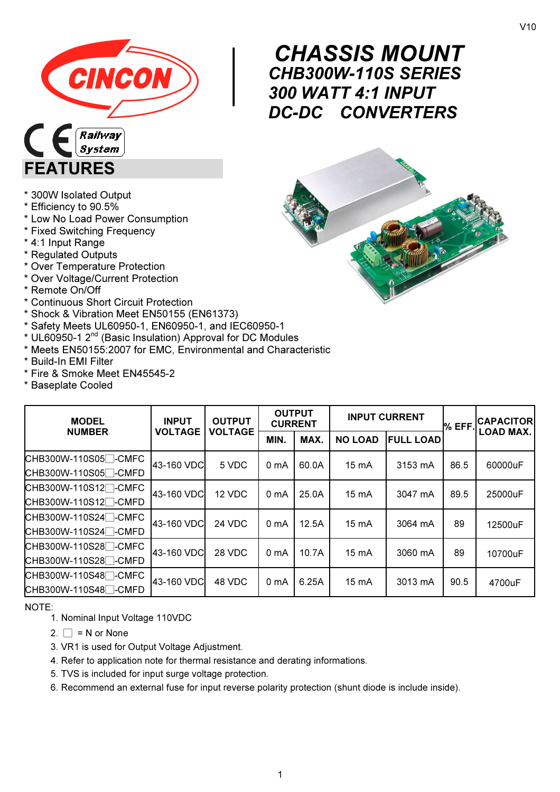

 $\begin{array}{c}\nC \\
C \\
30\n\end{array}$ CHASSIS MOUNT CHB300W-110S SERIES 300 WATT 4:1 INPUT DC-DC CONVERTERS



- \* 300W Isolated Output
- \* Efficiency to 90.5%

FEATURES

- \* Low No Load Power Consumption
- \* Fixed Switching Frequency
- \* 4:1 Input Range
- \* Regulated Outputs
- \* Over Temperature Protection
- \* Over Voltage/Current Protection
- \* Remote On/Off
- \* Continuous Short Circuit Protection
- \* Shock & Vibration Meet EN50155 (EN61373)
- \* Safety Meets UL60950-1, EN60950-1, and IEC60950-1
- $*$  UL60950-1 2<sup>nd</sup> (Basic Insulation) Approval for DC Modules
- \* Meets EN50155:2007 for EMC, Environmental and Characteristic
- \* Build-In EMI Filter
- \* Fire & Smoke Meet EN45545-2
- \* Baseplate Cooled

| <b>MODEL</b><br><b>INPUT</b>                 |                | <b>OUTPUT</b>  | <b>OUTPUT</b><br><b>CURRENT</b> |       | <b>INPUT CURRENT</b> |                  | % EFF | <b>CAPACITOR</b> |
|----------------------------------------------|----------------|----------------|---------------------------------|-------|----------------------|------------------|-------|------------------|
| <b>NUMBER</b>                                | <b>VOLTAGE</b> | <b>VOLTAGE</b> | MIN.                            | MAX.  | <b>NO LOAD</b>       | <b>FULL LOAD</b> |       | <b>LOAD MAX.</b> |
| CHB300W-110S05□-CMFC<br>CHB300W-110S05□-CMFD | 43-160 VDC     | 5 VDC          | 0 <sub>m</sub> A                | 60.0A | $15 \text{ mA}$      | 3153 mA          | 86.5  | 60000uF          |
| CHB300W-110S12□-CMFC<br>CHB300W-110S12□-CMFD | 43-160 VDC     | 12 VDC         | 0 <sub>mA</sub>                 | 25.0A | $15 \text{ mA}$      | 3047 mA          | 89.5  | 25000uF          |
| CHB300W-110S24□-CMFC<br>CHB300W-110S24□-CMFD | 43-160 VDC     | 24 VDC         | 0 <sub>m</sub> A                | 12.5A | $15 \text{ mA}$      | 3064 mA          | 89    | 12500uF          |
| CHB300W-110S28□-CMFC<br>CHB300W-110S28□-CMFD | 43-160 VDC     | 28 VDC         | 0 <sub>m</sub> A                | 10.7A | $15 \text{ mA}$      | 3060 mA          | 89    | 10700uF          |
| CHB300W-110S48□-CMFC<br>CHB300W-110S48□-CMFD | 43-160 VDC     | 48 VDC         | 0 <sub>mA</sub>                 | 6.25A | 15 mA                | 3013 mA          | 90.5  | 4700uF           |

NOTE:

- 1. Nominal Input Voltage 110VDC
- 2.  $\Box$  = N or None
- 3. VR1 is used for Output Voltage Adjustment.
- 4. Refer to application note for thermal resistance and derating informations.
- 5. TVS is included for input surge voltage protection.
- 6. Recommend an external fuse for input reverse polarity protection (shunt diode is include inside).